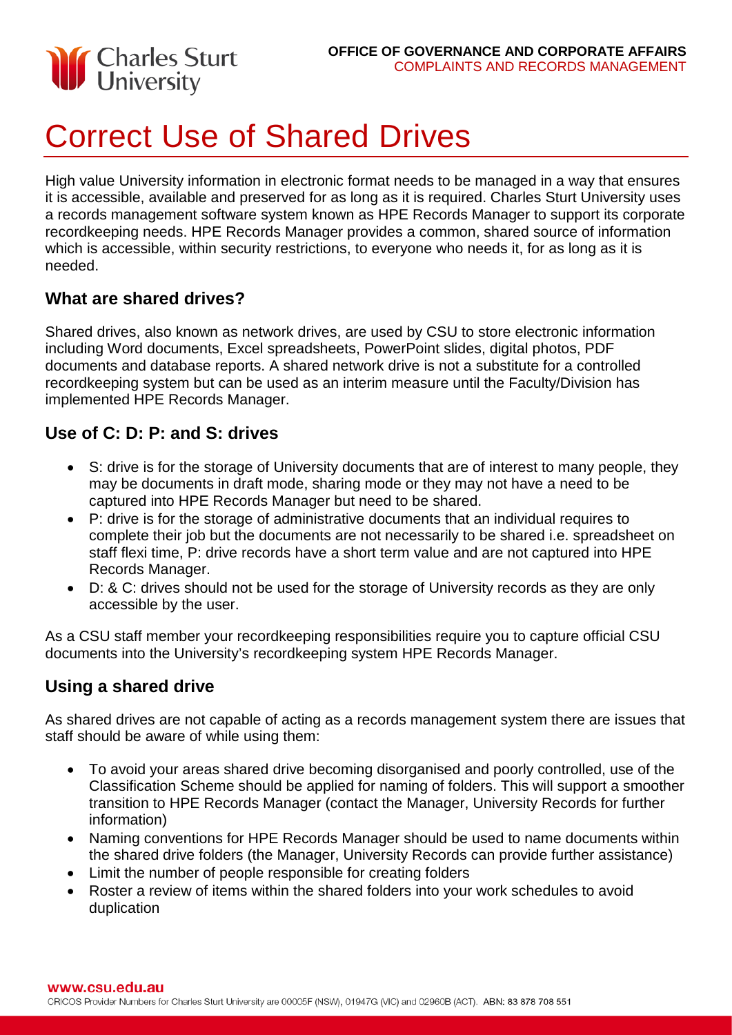

# Correct Use of Shared Drives

High value University information in electronic format needs to be managed in a way that ensures it is accessible, available and preserved for as long as it is required. Charles Sturt University uses a records management software system known as HPE Records Manager to support its corporate recordkeeping needs. HPE Records Manager provides a common, shared source of information which is accessible, within security restrictions, to everyone who needs it, for as long as it is needed.

#### **What are shared drives?**

Shared drives, also known as network drives, are used by CSU to store electronic information including Word documents, Excel spreadsheets, PowerPoint slides, digital photos, PDF documents and database reports. A shared network drive is not a substitute for a controlled recordkeeping system but can be used as an interim measure until the Faculty/Division has implemented HPE Records Manager.

#### **Use of C: D: P: and S: drives**

- S: drive is for the storage of University documents that are of interest to many people, they may be documents in draft mode, sharing mode or they may not have a need to be captured into HPE Records Manager but need to be shared.
- P: drive is for the storage of administrative documents that an individual requires to complete their job but the documents are not necessarily to be shared i.e. spreadsheet on staff flexi time, P: drive records have a short term value and are not captured into HPE Records Manager.
- D: & C: drives should not be used for the storage of University records as they are only accessible by the user.

As a CSU staff member your recordkeeping responsibilities require you to capture official CSU documents into the University's recordkeeping system HPE Records Manager.

#### **Using a shared drive**

As shared drives are not capable of acting as a records management system there are issues that staff should be aware of while using them:

- To avoid your areas shared drive becoming disorganised and poorly controlled, use of the Classification Scheme should be applied for naming of folders. This will support a smoother transition to HPE Records Manager (contact the Manager, University Records for further information)
- Naming conventions for HPE Records Manager should be used to name documents within the shared drive folders (the Manager, University Records can provide further assistance)
- Limit the number of people responsible for creating folders
- Roster a review of items within the shared folders into your work schedules to avoid duplication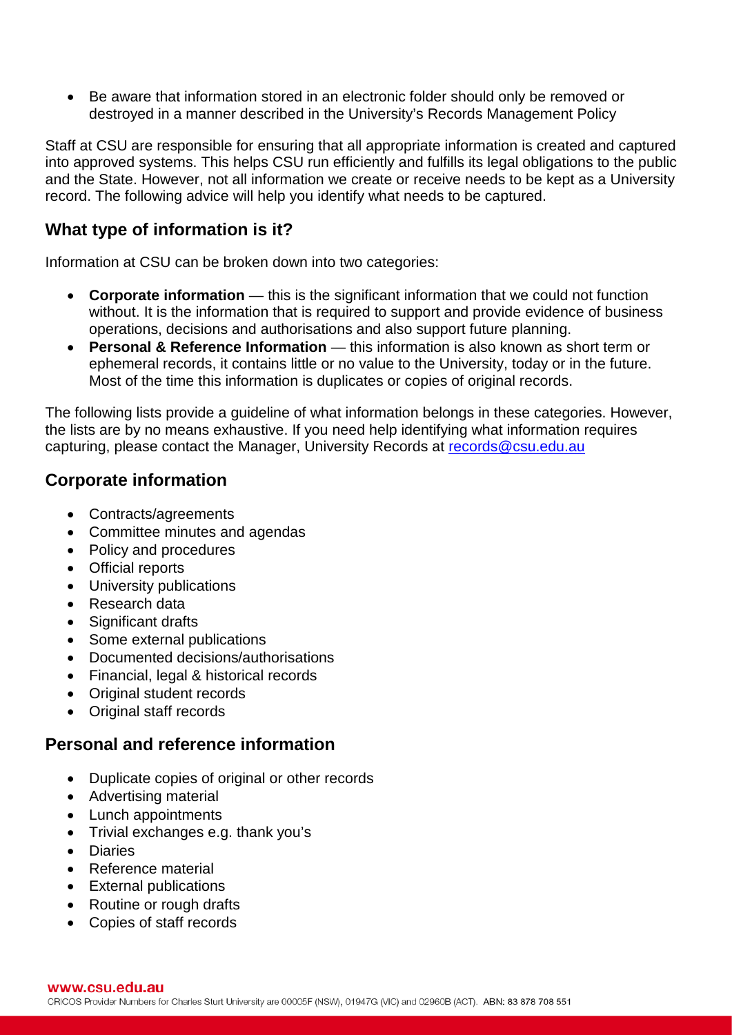• Be aware that information stored in an electronic folder should only be removed or destroyed in a manner described in the University's Records Management Policy

Staff at CSU are responsible for ensuring that all appropriate information is created and captured into approved systems. This helps CSU run efficiently and fulfills its legal obligations to the public and the State. However, not all information we create or receive needs to be kept as a University record. The following advice will help you identify what needs to be captured.

## **What type of information is it?**

Information at CSU can be broken down into two categories:

- **Corporate information** this is the significant information that we could not function without. It is the information that is required to support and provide evidence of business operations, decisions and authorisations and also support future planning.
- **Personal & Reference Information**  this information is also known as short term or ephemeral records, it contains little or no value to the University, today or in the future. Most of the time this information is duplicates or copies of original records.

The following lists provide a guideline of what information belongs in these categories. However, the lists are by no means exhaustive. If you need help identifying what information requires capturing, please contact the Manager, University Records at [records@csu.edu.au](mailto:records@csu.edu.au) 

#### **Corporate information**

- Contracts/agreements
- Committee minutes and agendas
- Policy and procedures
- Official reports
- University publications
- Research data
- Significant drafts
- Some external publications
- Documented decisions/authorisations
- Financial, legal & historical records
- Original student records
- Original staff records

# **Personal and reference information**

- Duplicate copies of original or other records
- Advertising material
- Lunch appointments
- Trivial exchanges e.g. thank you's
- Diaries
- Reference material
- External publications
- Routine or rough drafts
- Copies of staff records